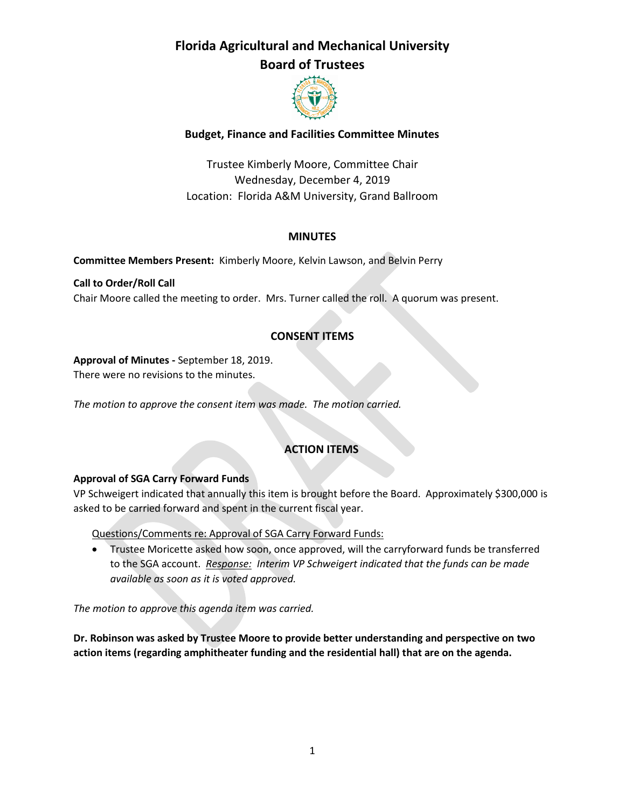# **Florida Agricultural and Mechanical University**

### **Board of Trustees**



### **Budget, Finance and Facilities Committee Minutes**

Trustee Kimberly Moore, Committee Chair Wednesday, December 4, 2019 Location: Florida A&M University, Grand Ballroom

#### **MINUTES**

**Committee Members Present:** Kimberly Moore, Kelvin Lawson, and Belvin Perry

**Call to Order/Roll Call** Chair Moore called the meeting to order. Mrs. Turner called the roll. A quorum was present.

### **CONSENT ITEMS**

**Approval of Minutes -** September 18, 2019.

There were no revisions to the minutes.

*The motion to approve the consent item was made. The motion carried.* 

### **ACTION ITEMS**

### **Approval of SGA Carry Forward Funds**

VP Schweigert indicated that annually this item is brought before the Board. Approximately \$300,000 is asked to be carried forward and spent in the current fiscal year.

Questions/Comments re: Approval of SGA Carry Forward Funds:

 Trustee Moricette asked how soon, once approved, will the carryforward funds be transferred to the SGA account. *Response: Interim VP Schweigert indicated that the funds can be made available as soon as it is voted approved.*

*The motion to approve this agenda item was carried.*

**Dr. Robinson was asked by Trustee Moore to provide better understanding and perspective on two action items (regarding amphitheater funding and the residential hall) that are on the agenda.**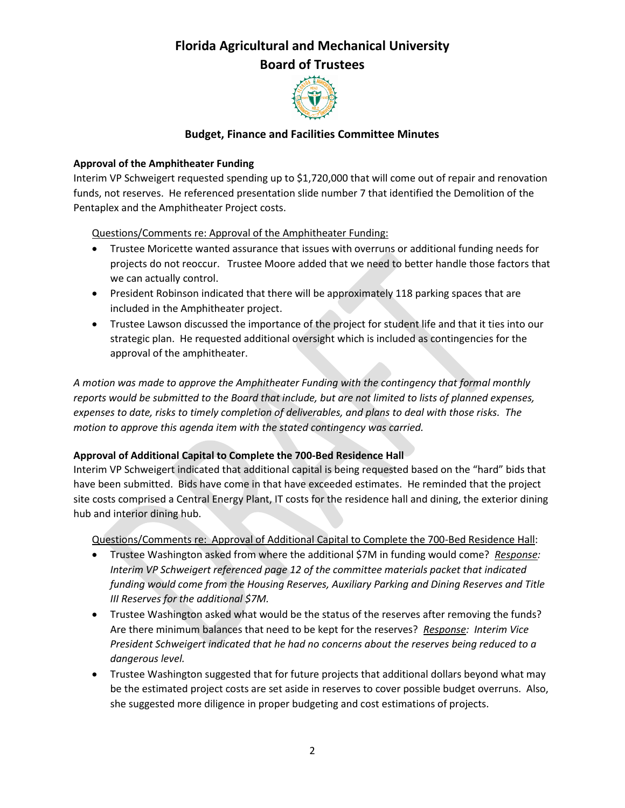

#### **Budget, Finance and Facilities Committee Minutes**

#### **Approval of the Amphitheater Funding**

Interim VP Schweigert requested spending up to \$1,720,000 that will come out of repair and renovation funds, not reserves. He referenced presentation slide number 7 that identified the Demolition of the Pentaplex and the Amphitheater Project costs.

Questions/Comments re: Approval of the Amphitheater Funding:

- Trustee Moricette wanted assurance that issues with overruns or additional funding needs for projects do not reoccur. Trustee Moore added that we need to better handle those factors that we can actually control.
- President Robinson indicated that there will be approximately 118 parking spaces that are included in the Amphitheater project.
- Trustee Lawson discussed the importance of the project for student life and that it ties into our strategic plan. He requested additional oversight which is included as contingencies for the approval of the amphitheater.

*A motion was made to approve the Amphitheater Funding with the contingency that formal monthly reports would be submitted to the Board that include, but are not limited to lists of planned expenses, expenses to date, risks to timely completion of deliverables, and plans to deal with those risks. The motion to approve this agenda item with the stated contingency was carried.*

#### **Approval of Additional Capital to Complete the 700-Bed Residence Hall**

Interim VP Schweigert indicated that additional capital is being requested based on the "hard" bids that have been submitted. Bids have come in that have exceeded estimates. He reminded that the project site costs comprised a Central Energy Plant, IT costs for the residence hall and dining, the exterior dining hub and interior dining hub.

Questions/Comments re: Approval of Additional Capital to Complete the 700-Bed Residence Hall:

- Trustee Washington asked from where the additional \$7M in funding would come? *Response: Interim VP Schweigert referenced page 12 of the committee materials packet that indicated funding would come from the Housing Reserves, Auxiliary Parking and Dining Reserves and Title III Reserves for the additional \$7M.*
- Trustee Washington asked what would be the status of the reserves after removing the funds? Are there minimum balances that need to be kept for the reserves? *Response: Interim Vice President Schweigert indicated that he had no concerns about the reserves being reduced to a dangerous level.*
- Trustee Washington suggested that for future projects that additional dollars beyond what may be the estimated project costs are set aside in reserves to cover possible budget overruns. Also, she suggested more diligence in proper budgeting and cost estimations of projects.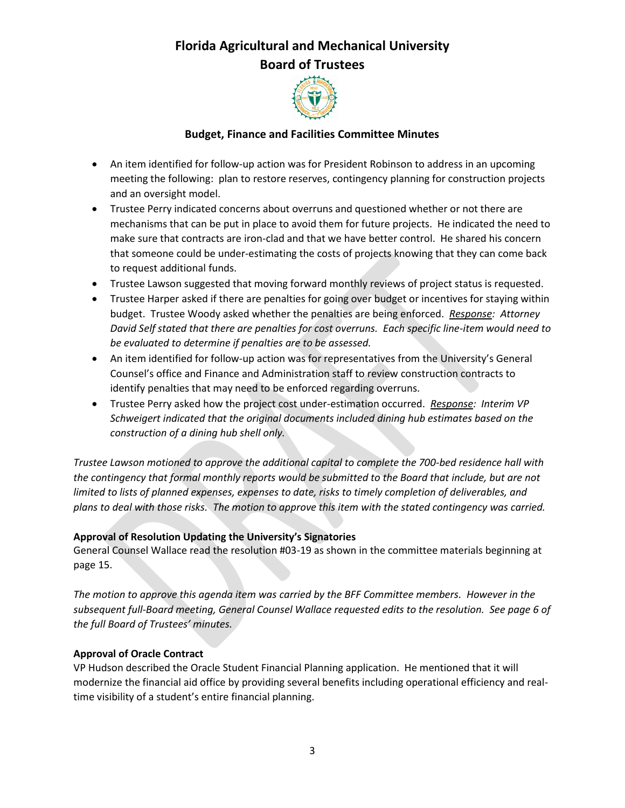

#### **Budget, Finance and Facilities Committee Minutes**

- An item identified for follow-up action was for President Robinson to address in an upcoming meeting the following: plan to restore reserves, contingency planning for construction projects and an oversight model.
- Trustee Perry indicated concerns about overruns and questioned whether or not there are mechanisms that can be put in place to avoid them for future projects. He indicated the need to make sure that contracts are iron-clad and that we have better control. He shared his concern that someone could be under-estimating the costs of projects knowing that they can come back to request additional funds.
- Trustee Lawson suggested that moving forward monthly reviews of project status is requested.
- Trustee Harper asked if there are penalties for going over budget or incentives for staying within budget. Trustee Woody asked whether the penalties are being enforced. *Response: Attorney David Self stated that there are penalties for cost overruns. Each specific line-item would need to be evaluated to determine if penalties are to be assessed.*
- An item identified for follow-up action was for representatives from the University's General Counsel's office and Finance and Administration staff to review construction contracts to identify penalties that may need to be enforced regarding overruns.
- Trustee Perry asked how the project cost under-estimation occurred. *Response: Interim VP Schweigert indicated that the original documents included dining hub estimates based on the construction of a dining hub shell only.*

*Trustee Lawson motioned to approve the additional capital to complete the 700-bed residence hall with the contingency that formal monthly reports would be submitted to the Board that include, but are not limited to lists of planned expenses, expenses to date, risks to timely completion of deliverables, and plans to deal with those risks. The motion to approve this item with the stated contingency was carried.*

#### **Approval of Resolution Updating the University's Signatories**

General Counsel Wallace read the resolution #03-19 as shown in the committee materials beginning at page 15.

*The motion to approve this agenda item was carried by the BFF Committee members. However in the subsequent full-Board meeting, General Counsel Wallace requested edits to the resolution. See page 6 of the full Board of Trustees' minutes.*

#### **Approval of Oracle Contract**

VP Hudson described the Oracle Student Financial Planning application. He mentioned that it will modernize the financial aid office by providing several benefits including operational efficiency and realtime visibility of a student's entire financial planning.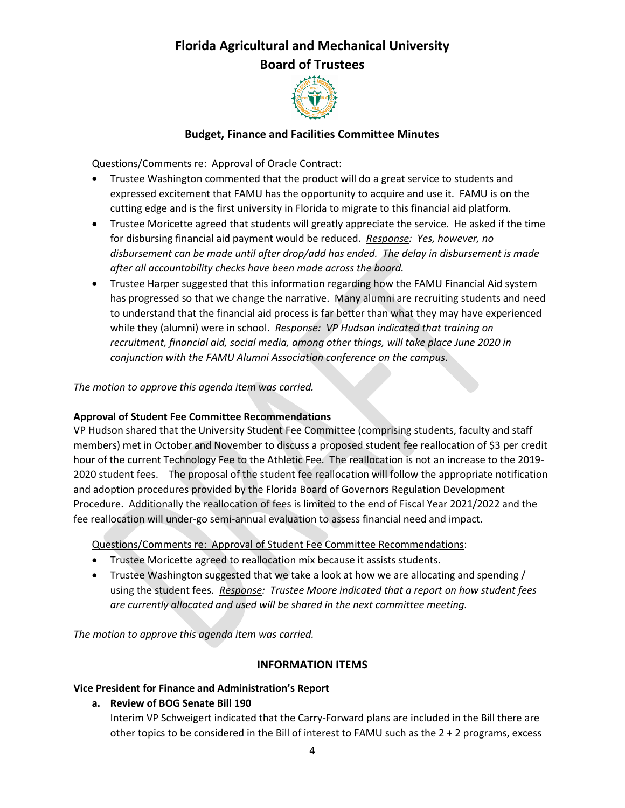

#### **Budget, Finance and Facilities Committee Minutes**

Questions/Comments re: Approval of Oracle Contract:

- Trustee Washington commented that the product will do a great service to students and expressed excitement that FAMU has the opportunity to acquire and use it. FAMU is on the cutting edge and is the first university in Florida to migrate to this financial aid platform.
- Trustee Moricette agreed that students will greatly appreciate the service. He asked if the time for disbursing financial aid payment would be reduced. *Response: Yes, however, no disbursement can be made until after drop/add has ended. The delay in disbursement is made after all accountability checks have been made across the board.*
- Trustee Harper suggested that this information regarding how the FAMU Financial Aid system has progressed so that we change the narrative. Many alumni are recruiting students and need to understand that the financial aid process is far better than what they may have experienced while they (alumni) were in school. *Response: VP Hudson indicated that training on recruitment, financial aid, social media, among other things, will take place June 2020 in conjunction with the FAMU Alumni Association conference on the campus.*

#### *The motion to approve this agenda item was carried.*

#### **Approval of Student Fee Committee Recommendations**

VP Hudson shared that the University Student Fee Committee (comprising students, faculty and staff members) met in October and November to discuss a proposed student fee reallocation of \$3 per credit hour of the current Technology Fee to the Athletic Fee. The reallocation is not an increase to the 2019- 2020 student fees. The proposal of the student fee reallocation will follow the appropriate notification and adoption procedures provided by the Florida Board of Governors Regulation Development Procedure. Additionally the reallocation of fees is limited to the end of Fiscal Year 2021/2022 and the fee reallocation will under-go semi-annual evaluation to assess financial need and impact.

Questions/Comments re: Approval of Student Fee Committee Recommendations:

- Trustee Moricette agreed to reallocation mix because it assists students.
- Trustee Washington suggested that we take a look at how we are allocating and spending / using the student fees. *Response: Trustee Moore indicated that a report on how student fees are currently allocated and used will be shared in the next committee meeting.*

*The motion to approve this agenda item was carried.*

#### **INFORMATION ITEMS**

#### **Vice President for Finance and Administration's Report**

#### **a. Review of BOG Senate Bill 190**

Interim VP Schweigert indicated that the Carry-Forward plans are included in the Bill there are other topics to be considered in the Bill of interest to FAMU such as the 2 + 2 programs, excess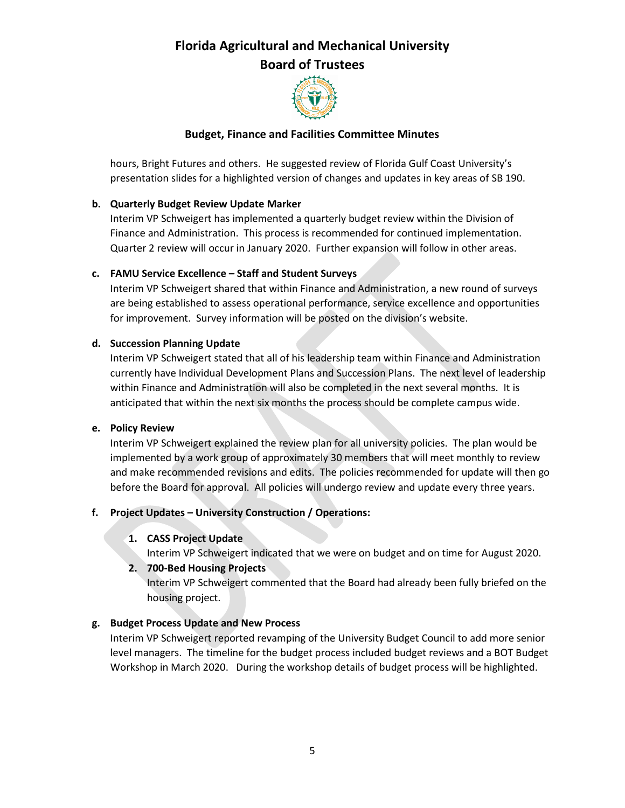

#### **Budget, Finance and Facilities Committee Minutes**

hours, Bright Futures and others. He suggested review of Florida Gulf Coast University's presentation slides for a highlighted version of changes and updates in key areas of SB 190.

#### **b. Quarterly Budget Review Update Marker**

Interim VP Schweigert has implemented a quarterly budget review within the Division of Finance and Administration. This process is recommended for continued implementation. Quarter 2 review will occur in January 2020. Further expansion will follow in other areas.

#### **c. FAMU Service Excellence – Staff and Student Surveys**

Interim VP Schweigert shared that within Finance and Administration, a new round of surveys are being established to assess operational performance, service excellence and opportunities for improvement. Survey information will be posted on the division's website.

#### **d. Succession Planning Update**

Interim VP Schweigert stated that all of his leadership team within Finance and Administration currently have Individual Development Plans and Succession Plans. The next level of leadership within Finance and Administration will also be completed in the next several months. It is anticipated that within the next six months the process should be complete campus wide.

#### **e. Policy Review**

Interim VP Schweigert explained the review plan for all university policies. The plan would be implemented by a work group of approximately 30 members that will meet monthly to review and make recommended revisions and edits. The policies recommended for update will then go before the Board for approval. All policies will undergo review and update every three years.

#### **f. Project Updates – University Construction / Operations:**

#### **1. CASS Project Update**

Interim VP Schweigert indicated that we were on budget and on time for August 2020.

#### **2. 700-Bed Housing Projects**

Interim VP Schweigert commented that the Board had already been fully briefed on the housing project.

#### **g. Budget Process Update and New Process**

Interim VP Schweigert reported revamping of the University Budget Council to add more senior level managers. The timeline for the budget process included budget reviews and a BOT Budget Workshop in March 2020. During the workshop details of budget process will be highlighted.